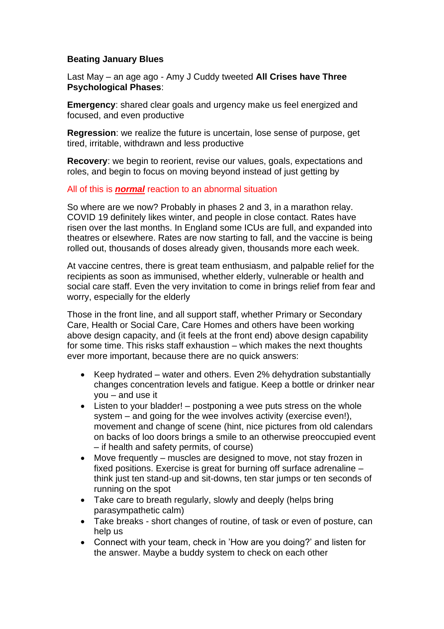## **Beating January Blues**

Last May – an age ago - Amy J Cuddy tweeted **All Crises have Three Psychological Phases**:

**Emergency**: shared clear goals and urgency make us feel energized and focused, and even productive

**Regression**: we realize the future is uncertain, lose sense of purpose, get tired, irritable, withdrawn and less productive

**Recovery**: we begin to reorient, revise our values, goals, expectations and roles, and begin to focus on moving beyond instead of just getting by

## All of this is *normal* reaction to an abnormal situation

So where are we now? Probably in phases 2 and 3, in a marathon relay. COVID 19 definitely likes winter, and people in close contact. Rates have risen over the last months. In England some ICUs are full, and expanded into theatres or elsewhere. Rates are now starting to fall, and the vaccine is being rolled out, thousands of doses already given, thousands more each week.

At vaccine centres, there is great team enthusiasm, and palpable relief for the recipients as soon as immunised, whether elderly, vulnerable or health and social care staff. Even the very invitation to come in brings relief from fear and worry, especially for the elderly

Those in the front line, and all support staff, whether Primary or Secondary Care, Health or Social Care, Care Homes and others have been working above design capacity, and (it feels at the front end) above design capability for some time. This risks staff exhaustion – which makes the next thoughts ever more important, because there are no quick answers:

- Keep hydrated water and others. Even 2% dehydration substantially changes concentration levels and fatigue. Keep a bottle or drinker near you – and use it
- Listen to your bladder! postponing a wee puts stress on the whole system – and going for the wee involves activity (exercise even!), movement and change of scene (hint, nice pictures from old calendars on backs of loo doors brings a smile to an otherwise preoccupied event – if health and safety permits, of course)
- Move frequently muscles are designed to move, not stay frozen in fixed positions. Exercise is great for burning off surface adrenaline – think just ten stand-up and sit-downs, ten star jumps or ten seconds of running on the spot
- Take care to breath regularly, slowly and deeply (helps bring parasympathetic calm)
- Take breaks short changes of routine, of task or even of posture, can help us
- Connect with your team, check in 'How are you doing?' and listen for the answer. Maybe a buddy system to check on each other